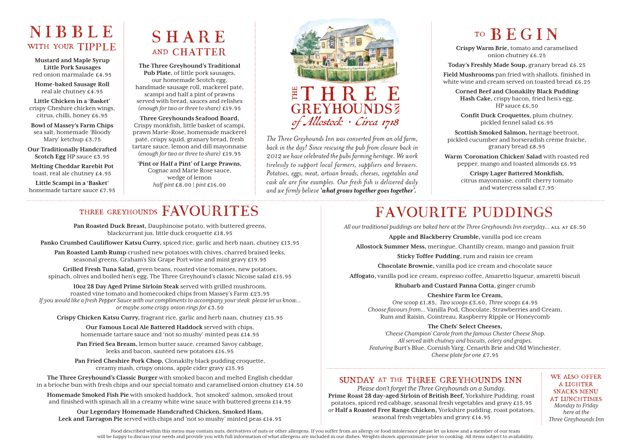## NIBBLE WITH YOUR TIPPLE

**Mustard and Maple Syrup Little Pork Sausages** red onion marmalade £4.95

**Home-baked Sausage Roll** real ale chutney £4.95

**Little Chicken in a 'Basket'**  crispy Cheshire chicken wings, citrus, chilli, honey £6.95

**Bowl of Massey's Farm Chips**  sea salt, homemade 'Bloody Mary' ketchup £3.75

**Our Traditionally Handcrafted Scotch Egg** HP sauce £3.95

**Melting Cheddar Rarebit Pot**  toast, real ale chutney £4.95

**Little Scampi in a 'Basket'**  homemade tartare sauce £7.95

## SHARE and CHATTER

**The Three Greyhound's Traditional Pub Plate,** of little pork sausages, our homemade Scotch egg, handmade sausage roll, mackerel paté, scampi and half a pint of prawns served with bread, sauces and relishes *(enough for two or three to share)* £19.95

**Three Greyhounds Seafood Board,** Crispy monkfish, little basket of scampi, prawn Marie-Rose, homemade mackerel paté, crispy squid, granary bread, fresh tartare sauce, lemon and dill mayonnaise *(enough for two or three to share)* £19.95

**'Pint or Half a Pint' of Large Prawns,** Cognac and Marie Rose sauce, wedge of lemon *half pint* £8.00 | *pint* £16.00



*The Three Greyhounds Inn was converted from an old farm, back in the day! Since rescuing the pub from closure back in 2012 we have celebrated the pubs farming heritage. We work tirelessly to support local farmers, suppliers and brewers. Potatoes, eggs, meat, artisan breads, cheeses, vegetables and cask ale are fine examples. Our fresh fish is delivered daily and we firmly believe 'what grows together goes together'.*

# to BEGIN

**Crispy Warm Brie,** tomato and caramelised onion chutney £6.25

**Today's Freshly Made Soup,** granary bread £6.25

**Field Mushrooms** pan fried with shallots, finished in white wine and cream served on toasted bread £6.25

**Corned Beef and Clonakilty Black Pudding Hash Cake,** crispy bacon, fried hen's egg, HP sauce £6.50

**Confit Duck Croquettes,** plum chutney, pickled fennel salad £6.95

**Scottish Smoked Salmon,** heritage beetroot, pickled cucumber and horseradish crème fraiche, granary bread £8.95

**Warm 'Coronation Chicken' Salad** with roasted red pepper, mango and toasted almonds £6.95

> **Crispy Lager Battered Monkfish,**  citrus mayonnaise, confit cherry tomato and watercress salad £7.95

## three greyhounds FAVOURITES

**Pan Roasted Duck Breast,** Dauphinoise potato, with buttered greens, blackcurrant jus, little duck croquette £18.95

**Panko Crumbed Cauliflower Katsu Curry,** spiced rice, garlic and herb naan, chutney £13.95

**Pan Roasted Lamb Rump** crushed new potatoes with chives, charred braised leeks, seasonal greens, Graham's Six Grape Port wine and mint gravy £19.95

**Grilled Fresh Tuna Salad,** green beans, roasted vine tomatoes, new potatoes, spinach, olives and boiled hen's egg, The Three Greyhound's classic Nicoise salad £15.95

**10oz 28 Day Aged Prime Sirloin Steak** served with grilled mushroom, roasted vine tomato and homecooked chips from Massey's Farm £23.95 *If you would like a fresh Pepper Sauce with our compliments to accompany your steak please let us know... or maybe some crispy onion rings for* £3.50

**Crispy Chicken Katsu Curry,** fragrant rice, garlic and herb naan, chutney £15.95

**Our Famous Local Ale Battered Haddock** served with chips, homemade tartare sauce and 'not so mushy' minted peas £14.95

**Pan Fried Sea Bream,** lemon butter sauce, creamed Savoy cabbage, leeks and bacon, sautéed new potatoes £16.95

**Pan Fried Cheshire Pork Chop,** Clonakilty black pudding croquette, creamy mash, crispy onions, apple cider gravy £15.95

**The Three Greyhound's Classic Burger** with smoked bacon and melted English cheddar in a brioche bun with fresh chips and our special tomato and caramelised onion chutney £14.50

**Homemade Smoked Fish Pie** with smoked haddock, 'hot smoked' salmon, smoked trout and finished with spinach all in a creamy white wine sauce with buttered greens £14.95

**Our Legendary Homemade Handcrafted Chicken, Smoked Ham, Leek and Tarragon Pie** served with chips and 'not so mushy' minted peas £14.95

# FAVOURITE PUDDINGS

All our traditional puddings are baked here at the Three Greyhounds Inn everyday... ALL AT £6.50

**Apple and Blackberry Crumble,** vanilla pod ice cream

**Allostock Summer Mess,** meringue, Chantilly cream, mango and passion fruit

**Sticky Toffee Pudding,** rum and raisin ice cream

**Chocolate Brownie,** vanilla pod ice cream and chocolate sauce

**Affogato,** vanilla pod ice cream, espresso coffee, Amaretto liqueur, amaretti biscuit

**Rhubarb and Custard Panna Cotta,** ginger crumb

#### **Cheshire Farm Ice Cream,**

*One scoop* £1.85, *Two scoops* £3.60, *Three scoops* £4.95 *Choose flavours from...* Vanilla Pod, Chocolate, Strawberries and Cream, Rum and Raisin, Cointreau, Raspberry Ripple or Honeycomb

#### **The Chefs' Select Cheeses,**

*'Cheese Champion' Carole from the famous Chester Cheese Shop. All served with chutney and biscuits, celery and grapes. Featuring* Burt's Blue, Cornish Yarg, Cenarth Brie and Old Winchester. *Cheese plate for one* £7.95

#### sunday at the three greyhounds inn

*Please don't forget the Three Greyhounds on a Sunday.*  **Prime Roast 28 day-aged Sirloin of British Beef,** Yorkshire Pudding, roast potatoes, spiced red cabbage, seasonal fresh vegetables and gravy £15.95 *or* **Half a Roasted Free Range Chicken,** Yorkshire pudding, roast potatoes, seasonal fresh vegetables and gravy £14.95

we also offer a lighter snacks menu at lunchtimes *Monday to Friday here at the Three Greyhounds Inn*

Food described within this menu may contain nuts, derivatives of nuts or other allergens. If you suffer from an allergy or food intolerance please let us know and a member of our team will be happy to discuss your needs and provide you with full information of what allergens are included in our dishes. Weights shown approximate prior to cooking. All items subject to availability.